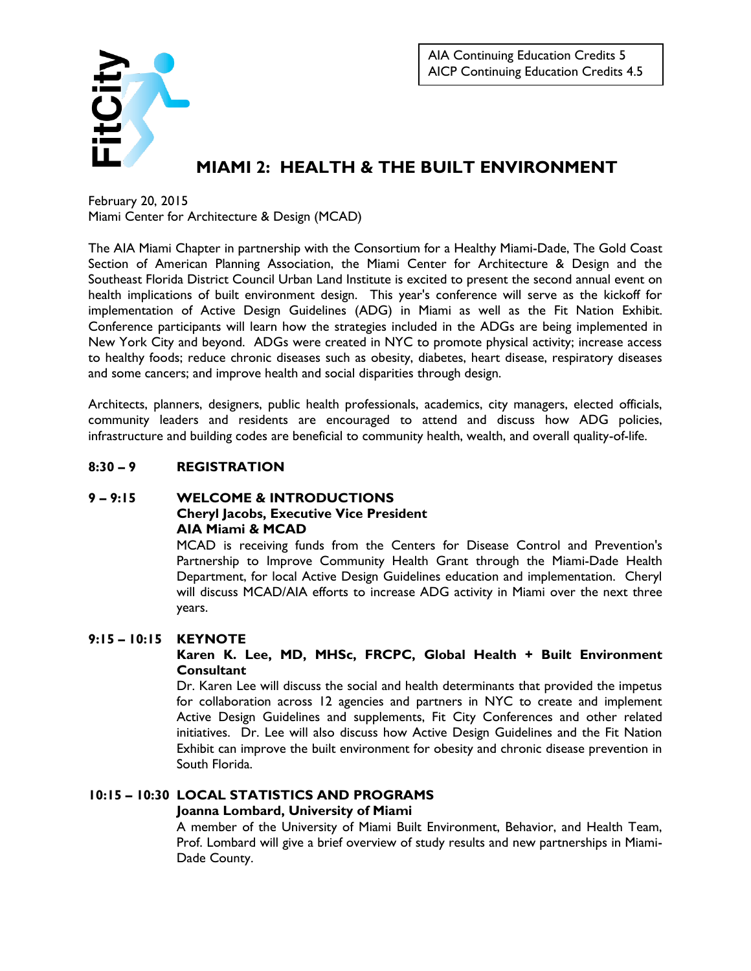

# **MIAMI 2: HEALTH & THE BUILT ENVIRONMENT**

February 20, 2015 Miami Center for Architecture & Design (MCAD)

The AIA Miami Chapter in partnership with the Consortium for a Healthy Miami-Dade, The Gold Coast Section of American Planning Association, the Miami Center for Architecture & Design and the Southeast Florida District Council Urban Land Institute is excited to present the second annual event on health implications of built environment design. This year's conference will serve as the kickoff for implementation of Active Design Guidelines (ADG) in Miami as well as the Fit Nation Exhibit. Conference participants will learn how the strategies included in the ADGs are being implemented in New York City and beyond. ADGs were created in NYC to promote physical activity; increase access to healthy foods; reduce chronic diseases such as obesity, diabetes, heart disease, respiratory diseases and some cancers; and improve health and social disparities through design.

Architects, planners, designers, public health professionals, academics, city managers, elected officials, community leaders and residents are encouraged to attend and discuss how ADG policies, infrastructure and building codes are beneficial to community health, wealth, and overall quality-of-life.

### **8:30 – 9 REGISTRATION**

#### **9 – 9:15 WELCOME & INTRODUCTIONS Cheryl Jacobs, Executive Vice President AIA Miami & MCAD**

MCAD is receiving funds from the Centers for Disease Control and Prevention's Partnership to Improve Community Health Grant through the Miami-Dade Health Department, for local Active Design Guidelines education and implementation. Cheryl will discuss MCAD/AIA efforts to increase ADG activity in Miami over the next three years.

#### **9:15 – 10:15 KEYNOTE**

#### **Karen K. Lee, MD, MHSc, FRCPC, Global Health + Built Environment Consultant**

Dr. Karen Lee will discuss the social and health determinants that provided the impetus for collaboration across 12 agencies and partners in NYC to create and implement Active Design Guidelines and supplements, Fit City Conferences and other related initiatives. Dr. Lee will also discuss how Active Design Guidelines and the Fit Nation Exhibit can improve the built environment for obesity and chronic disease prevention in South Florida.

### **10:15 – 10:30 LOCAL STATISTICS AND PROGRAMS**

### **Joanna Lombard, University of Miami**

A member of the University of Miami Built Environment, Behavior, and Health Team, Prof. Lombard will give a brief overview of study results and new partnerships in Miami-Dade County.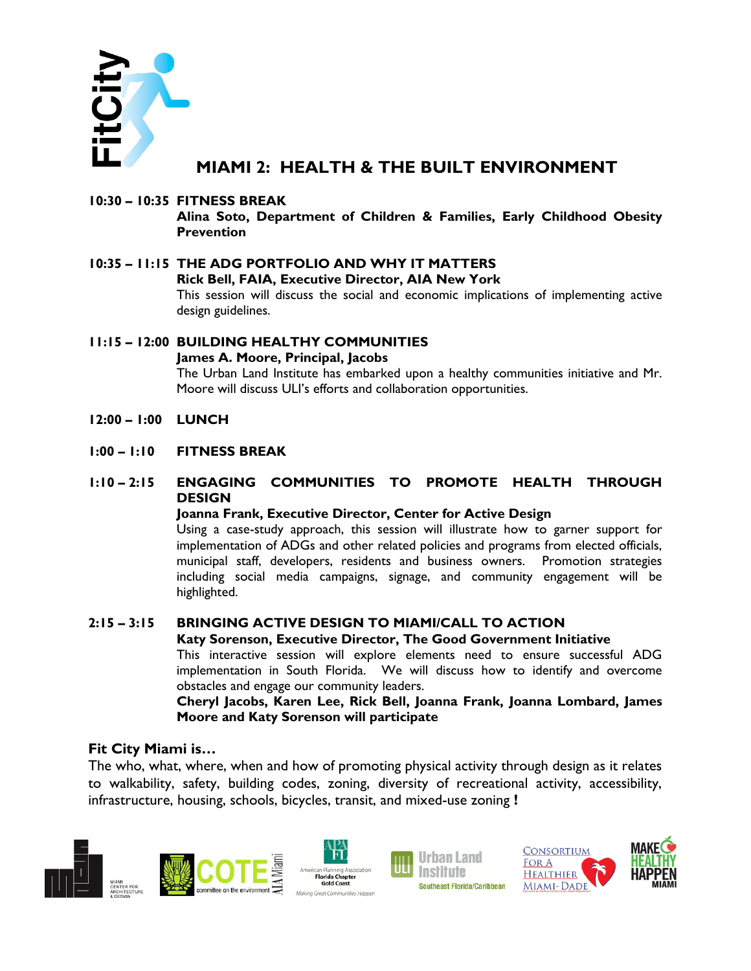

## **MIAMI 2: HEALTH & THE BUILT ENVIRONMENT**

### **10:30 – 10:35 FITNESS BREAK**

**Alina Soto, Department of Children & Families, Early Childhood Obesity Prevention**

- **10:35 – 11:15 THE ADG PORTFOLIO AND WHY IT MATTERS Rick Bell, FAIA, Executive Director, AIA New York** This session will discuss the social and economic implications of implementing active design guidelines.
- **11:15 – 12:00 BUILDING HEALTHY COMMUNITIES James A. Moore, Principal, Jacobs** The Urban Land Institute has embarked upon a healthy communities initiative and Mr. Moore will discuss ULI's efforts and collaboration opportunities.
- **12:00 – 1:00 LUNCH**
- **1:00 – 1:10 FITNESS BREAK**

### **1:10 – 2:15 ENGAGING COMMUNITIES TO PROMOTE HEALTH THROUGH DESIGN**

#### **Joanna Frank, Executive Director, Center for Active Design**

Using a case-study approach, this session will illustrate how to garner support for implementation of ADGs and other related policies and programs from elected officials, municipal staff, developers, residents and business owners. Promotion strategies including social media campaigns, signage, and community engagement will be highlighted.

## **2:15 – 3:15 BRINGING ACTIVE DESIGN TO MIAMI/CALL TO ACTION**

#### **Katy Sorenson, Executive Director, The Good Government Initiative**

This interactive session will explore elements need to ensure successful ADG implementation in South Florida. We will discuss how to identify and overcome obstacles and engage our community leaders.

**Cheryl Jacobs, Karen Lee, Rick Bell, Joanna Frank, Joanna Lombard, James Moore and Katy Sorenson will participate**

### **Fit City Miami is…**

The who, what, where, when and how of promoting physical activity through design as it relates to walkability, safety, building codes, zoning, diversity of recreational activity, accessibility, infrastructure, housing, schools, bicycles, transit, and mixed-use zoning **!**